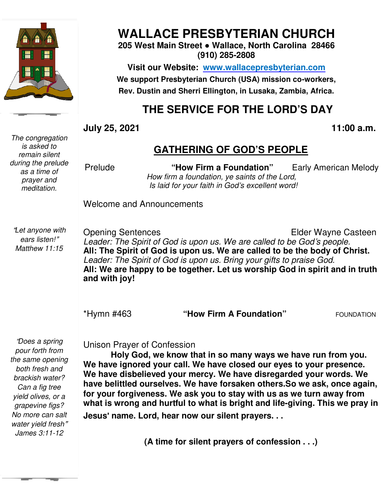

# **WALLACE PRESBYTERIAN CHURCH**

**205 West Main Street ● Wallace, North Carolina 28466 (910) 285-2808** 

**Visit our Website: www.wallacepresbyterian.com** We support Presbyterian Church (USA) mission co-workers, **Rev. Dustin and Sherri Ellington, in Lusaka, Sherri Ellington, Lusaka, Zambia, Africa.** 

## **THE SERVICE FOR THE LORD'S DAY**

**GATHERING OF GOD'S PEOPLE**

**July 25, 2021** 

#### **, 11:00**

#### *is asked to remain silent during the prelude as a time of prayer and meditation.*

*The congregation* 

Prelude **The Manual and "How Firm a Foundation"** Early American Melody *How firm a foundation, ye saints of the Lord, Is laid for your faith in Is laid in God's excellent word!*  **Early American Melody** 

Welcome and Announcements and Announcements

"*Let anyone with ears listen!*" *Matthew 11:15* 

Opening Sentences Leader: The Spirit of God is upon us. We are called to be God's people. **All: The Spirit of God is upon us. We are called to be the body of Christ.** *Leader: The Spirit of God is upon us. Bring your gifts to praise God.* All: The Spirit of God is upon us. We are called to be the body of Christ.<br>*Leader: The Spirit of God is upon us. Bring your gifts to praise God.*<br>All: We are happy to be together. Let us worship God in spirit and in truth **and with joy!** Elder Wayne Casteen **is upon us. We are**<br>od is upon us. Bring<br>**ve together. Let us** 

\*Hymn #463

**"How Firm A Foundation"** FOUNDATION

 *James 3:11-12*  "*Does a spring pour forth from the same opening both fresh and brackish water? Can a fig tree yield olives, or a grapevine figs? No more can salt water yield fresh*"

Unison Prayer of Confession Unison Prayer of

**Holy God, we know that in so many ways we have run from you.**  Holy God, we know that in so many ways we have run from you.<br>We have ignored your call. We have closed our eyes to your presence. **We have disbelieved your mercy. We have disregarded your words. We have belittled ourselves. We have forsaken others.So we ask, once again, for your forgiveness. We ask you to stay with us as we turn away from**  what is wrong and hurtful to what is bright and life-giving. This we pray in **Jesus**' **name. Lord, hear now our silent prayers. . .** Holy God, we know that in so many ways we have run from you.<br>We have ignored your call. We have closed our eyes to your presence.<br>We have disbelieved your mercy. We have disregarded your words. We<br>have belittled ourselves. 11:00 a.m.<br>
11:00 a.m.<br>
11:00 a.m.<br>
11:00 a.m.<br>
11:00 a.m.<br>
11:00 a.m.<br>
11:00 a.m.<br>
11:00 a.m.<br>
11:00 a.m.<br>
11:00 a.m.<br>
11:00 a.m.<br>
11:00 a.m.<br>
11:00 a.m.<br>
11:00 a.m.<br>
11:00 a.m.<br>
11:00 a.m.<br>
11:00 a.m.<br>
11:00 a.m.<br>
11:00

**(A time for silent prayers of confession . . .)**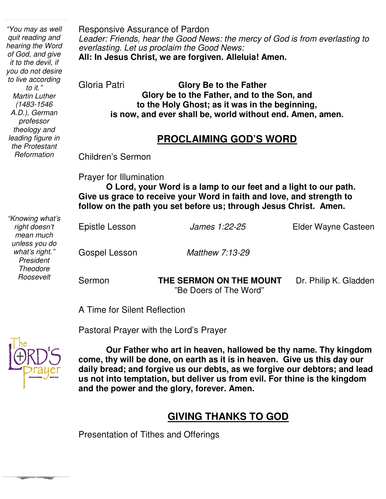**follow on the path you set before us; through Jesus Christ. Amen.** Responsive Assurance of Pardon *Leader: Friends, hear the Good News: the mercy of God is from everlasting to everlasting. Let us proclaim the Good News:* **All: In Jesus Christ, we are forgiven. Alleluia! Amen.** Gloria Patri **Glory Be to the Father Glory be to the Father, and to the Son, and to the Holy Ghost; as it was in the beginning, is now, and ever shall be, world without end. Amen, amen. PROCLAIMING GOD'S WORD** Children's Sermon Prayer for Illumination **O Lord, your Word is a lamp to our feet and a light to our path. Give us grace to receive your Word in faith and love, and strength to**  Epistle Lesson *James 1:22-25* Elder Wayne Casteen Gospel Lesson *Matthew 7:13-29* Sermon **THE SERMON ON THE MOUNT** Dr. Philip K. Gladden "Be Doers of The Word" *"You may as well quit reading and hearing the Word of God, and give it to the devil, if you do not desire to live according to it." Martin Luther (1483-1546 A.D.), German professor theology and leading figure in the Protestant Reformation "Knowing what's right doesn't mean much unless you do what's right." President Theodore Roosevelt* 

A Time for Silent Reflection

Pastoral Prayer with the Lord's Prayer



**College** 

 **us not into temptation, but deliver us from evil. For thine is the kingdom Our Father who art in heaven, hallowed be thy name. Thy kingdom come, thy will be done, on earth as it is in heaven. Give us this day our daily bread; and forgive us our debts, as we forgive our debtors; and lead and the power and the glory, forever. Amen.**

### **GIVING THANKS TO GOD**

Presentation of Tithes and Offerings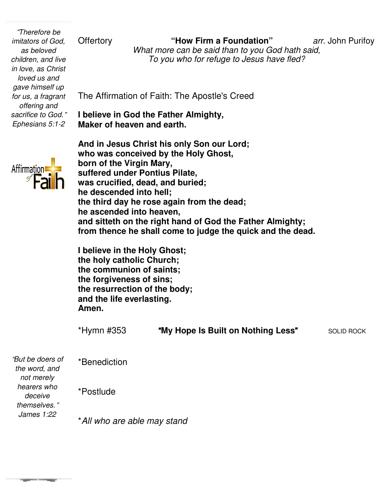"*Therefore be imitators of God, as beloved children, and live in love, as Christ loved us and gave himself up for us, a fragrant offering and sacrifice to God.*" *Ephesians 5:1-2* 

Offertory **"How Firm a Foundation"** What more can be said than to you God hath said, *To you who for refuge to Jesus have fled?*

**Foundation"** *arr.* John Purifoy

The Affirmation of Faith: The Apostle's Creed The

**I believe in God the Father Almighty, Maker of heaven and earth.**

**And in Jesus Christ his only Son our Lord; who was conceived by the Holy Ghost, born of the Virgin Mary, suffered under Pontius Pilate, was crucified, dead, and buried; he descended into hell; the third day he rose again from the dead; he ascended into heaven, and sitteth on the right hand of God the Father Almighty;** he ascended into heaven,<br>and sitteth on the right hand of God the Father Almighty;<br>from thence he shall come to judge the quick and the dead. heaven and earth.<br> **heaven and carth**<br> **heavies Christ his only Son our Lord;<br>
conceived by the Holy Ghost,<br>
ne Virgin Mary,<br>
under Pontius Pilate,<br>
ified, dead, and buried;<br>
nded into hell;<br>
day he rose again from the dea** 

**I believe in the Holy Ghost; the holy catholic Church; the communion of saints; the forgiveness of sins; the resurrection of the body; and the life everlasting. Amen. lieve in the Holy<br>holy catholic Cl<br>communion of :<br>forgiveness of :<br>resurrection of** 

\*Hymn #353 "**My Hope Is Built on Nothing Less** "SOLID ROCK

\*Benediction "*But be doers of the word, and* 

\*Postlude

*deceive themselves.*" *James 1:22* 

*not merely hearers who* 

\**All who are able may stand All*